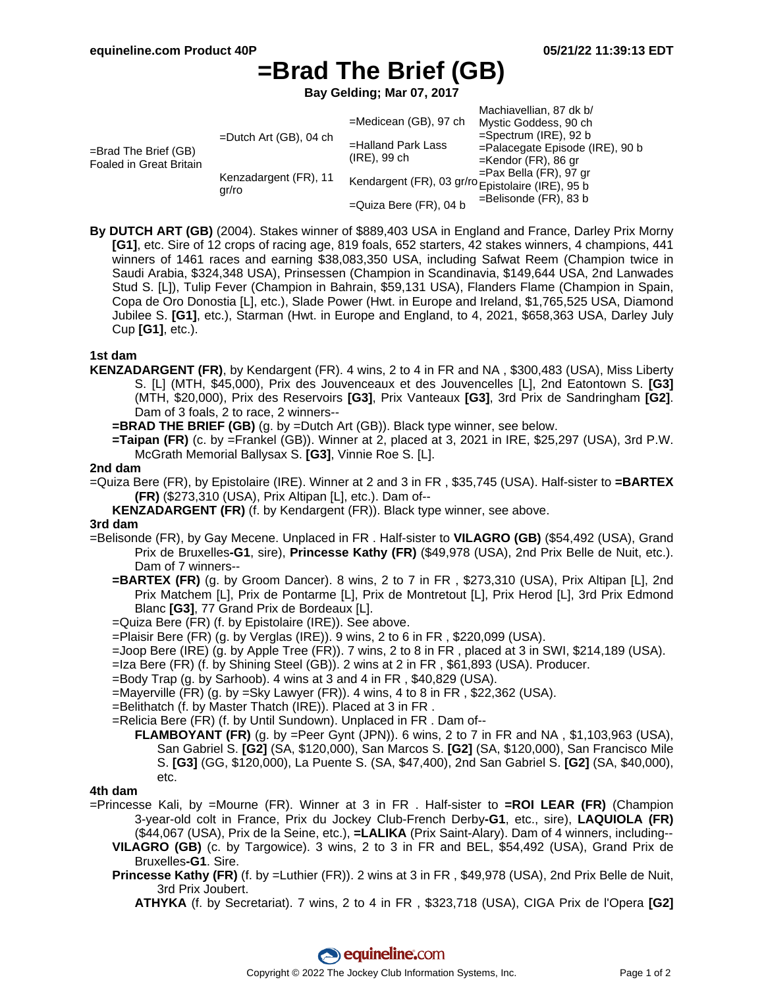# **=Brad The Brief (GB)**

**Bay Gelding; Mar 07, 2017**

| =Brad The Brief (GB)<br>Foaled in Great Britain | $=$ Dutch Art (GB), 04 ch<br>Kenzadargent (FR), 11<br>gr/ro | $=$ Medicean (GB), 97 ch<br>=Halland Park Lass<br>(IRE), 99 ch<br>Kendargent (FR), 03 gr/ro Epistolaire (IRE), 95 b | Machiavellian, 87 dk b/<br>Mystic Goddess, 90 ch<br>$=$ Spectrum (IRE), 92 b<br>$=$ Palacegate Episode (IRE), 90 b<br>$=$ Kendor (FR), 86 gr<br>$=$ Pax Bella (FR), 97 gr |
|-------------------------------------------------|-------------------------------------------------------------|---------------------------------------------------------------------------------------------------------------------|---------------------------------------------------------------------------------------------------------------------------------------------------------------------------|
|                                                 |                                                             | =Quiza Bere (FR), 04 b                                                                                              | $=$ Belisonde (FR), 83 b                                                                                                                                                  |

**By DUTCH ART (GB)** (2004). Stakes winner of \$889,403 USA in England and France, Darley Prix Morny **[G1]**, etc. Sire of 12 crops of racing age, 819 foals, 652 starters, 42 stakes winners, 4 champions, 441 winners of 1461 races and earning \$38,083,350 USA, including Safwat Reem (Champion twice in Saudi Arabia, \$324,348 USA), Prinsessen (Champion in Scandinavia, \$149,644 USA, 2nd Lanwades Stud S. [L]), Tulip Fever (Champion in Bahrain, \$59,131 USA), Flanders Flame (Champion in Spain, Copa de Oro Donostia [L], etc.), Slade Power (Hwt. in Europe and Ireland, \$1,765,525 USA, Diamond Jubilee S. **[G1]**, etc.), Starman (Hwt. in Europe and England, to 4, 2021, \$658,363 USA, Darley July Cup **[G1]**, etc.).

### **1st dam**

**KENZADARGENT (FR)**, by Kendargent (FR). 4 wins, 2 to 4 in FR and NA , \$300,483 (USA), Miss Liberty S. [L] (MTH, \$45,000), Prix des Jouvenceaux et des Jouvencelles [L], 2nd Eatontown S. **[G3]** (MTH, \$20,000), Prix des Reservoirs **[G3]**, Prix Vanteaux **[G3]**, 3rd Prix de Sandringham **[G2]**. Dam of 3 foals, 2 to race, 2 winners--

**=BRAD THE BRIEF (GB)** (g. by =Dutch Art (GB)). Black type winner, see below.

**=Taipan (FR)** (c. by =Frankel (GB)). Winner at 2, placed at 3, 2021 in IRE, \$25,297 (USA), 3rd P.W. McGrath Memorial Ballysax S. **[G3]**, Vinnie Roe S. [L].

#### **2nd dam**

=Quiza Bere (FR), by Epistolaire (IRE). Winner at 2 and 3 in FR , \$35,745 (USA). Half-sister to **=BARTEX (FR)** (\$273,310 (USA), Prix Altipan [L], etc.). Dam of--

**KENZADARGENT (FR)** (f. by Kendargent (FR)). Black type winner, see above.

### **3rd dam**

- =Belisonde (FR), by Gay Mecene. Unplaced in FR . Half-sister to **VILAGRO (GB)** (\$54,492 (USA), Grand Prix de Bruxelles**-G1**, sire), **Princesse Kathy (FR)** (\$49,978 (USA), 2nd Prix Belle de Nuit, etc.). Dam of 7 winners--
	- **=BARTEX (FR)** (g. by Groom Dancer). 8 wins, 2 to 7 in FR , \$273,310 (USA), Prix Altipan [L], 2nd Prix Matchem [L], Prix de Pontarme [L], Prix de Montretout [L], Prix Herod [L], 3rd Prix Edmond Blanc **[G3]**, 77 Grand Prix de Bordeaux [L].
	- =Quiza Bere (FR) (f. by Epistolaire (IRE)). See above.
	- =Plaisir Bere (FR) (g. by Verglas (IRE)). 9 wins, 2 to 6 in FR , \$220,099 (USA).
	- =Joop Bere (IRE) (g. by Apple Tree (FR)). 7 wins, 2 to 8 in FR , placed at 3 in SWI, \$214,189 (USA).
	- =Iza Bere (FR) (f. by Shining Steel (GB)). 2 wins at 2 in FR , \$61,893 (USA). Producer.
	- =Body Trap (g. by Sarhoob). 4 wins at 3 and 4 in FR , \$40,829 (USA).
	- =Mayerville (FR) (g. by =Sky Lawyer (FR)). 4 wins, 4 to 8 in FR , \$22,362 (USA).

=Belithatch (f. by Master Thatch (IRE)). Placed at 3 in FR .

=Relicia Bere (FR) (f. by Until Sundown). Unplaced in FR . Dam of--

**FLAMBOYANT (FR)** (g. by =Peer Gynt (JPN)). 6 wins, 2 to 7 in FR and NA, \$1,103,963 (USA), San Gabriel S. **[G2]** (SA, \$120,000), San Marcos S. **[G2]** (SA, \$120,000), San Francisco Mile S. **[G3]** (GG, \$120,000), La Puente S. (SA, \$47,400), 2nd San Gabriel S. **[G2]** (SA, \$40,000), etc.

#### **4th dam**

- =Princesse Kali, by =Mourne (FR). Winner at 3 in FR . Half-sister to **=ROI LEAR (FR)** (Champion 3-year-old colt in France, Prix du Jockey Club-French Derby**-G1**, etc., sire), **LAQUIOLA (FR)** (\$44,067 (USA), Prix de la Seine, etc.), **=LALIKA** (Prix Saint-Alary). Dam of 4 winners, including--
	- **VILAGRO (GB)** (c. by Targowice). 3 wins, 2 to 3 in FR and BEL, \$54,492 (USA), Grand Prix de Bruxelles**-G1**. Sire.
	- **Princesse Kathy (FR)** (f. by =Luthier (FR)). 2 wins at 3 in FR , \$49,978 (USA), 2nd Prix Belle de Nuit, 3rd Prix Joubert.
		- **ATHYKA** (f. by Secretariat). 7 wins, 2 to 4 in FR , \$323,718 (USA), CIGA Prix de l'Opera **[G2]**